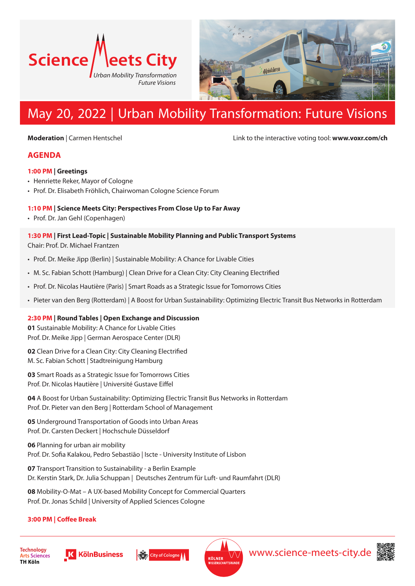



# May 20, 2022 | Urban Mobility Transformation: Future Visions

**Moderation** | Carmen Hentschel **Link to the interactive voting tool: www.voxr.com/ch** 

# **AGENDA**

#### **1:00 PM | Greetings**

- Henriette Reker, Mayor of Cologne
- Prof. Dr. Elisabeth Fröhlich, Chairwoman Cologne Science Forum

### **1:10 PM | Science Meets City: Perspectives From Close Up to Far Away**

• Prof. Dr. Jan Gehl (Copenhagen)

#### **1:30 PM | First Lead-Topic | Sustainable Mobility Planning and Public Transport Systems**  Chair: Prof. Dr. Michael Frantzen

- Prof. Dr. Meike Jipp (Berlin) | Sustainable Mobility: A Chance for Livable Cities
- M. Sc. Fabian Schott (Hamburg) | Clean Drive for a Clean City: City Cleaning Electrified
- Prof. Dr. Nicolas Hautière (Paris) | Smart Roads as a Strategic Issue for Tomorrows Cities
- Pieter van den Berg (Rotterdam) | A Boost for Urban Sustainability: Optimizing Electric Transit Bus Networks in Rotterdam

#### **2:30 PM | Round Tables | Open Exchange and Discussion**

**01** Sustainable Mobility: A Chance for Livable Cities Prof. Dr. Meike Jipp | German Aerospace Center (DLR)

**02** Clean Drive for a Clean City: City Cleaning Electrified M. Sc. Fabian Schott | Stadtreinigung Hamburg

**03** Smart Roads as a Strategic Issue for Tomorrows Cities Prof. Dr. Nicolas Hautière | Université Gustave Eiffel

**04** A Boost for Urban Sustainability: Optimizing Electric Transit Bus Networks in Rotterdam Prof. Dr. Pieter van den Berg | Rotterdam School of Management

**05** Underground Transportation of Goods into Urban Areas Prof. Dr. Carsten Deckert | Hochschule Düsseldorf

**06** Planning for urban air mobility Prof. Dr. Sofia Kalakou, Pedro Sebastião | Iscte - University Institute of Lisbon

**07** Transport Transition to Sustainability - a Berlin Example Dr. Kerstin Stark, Dr. Julia Schuppan | Deutsches Zentrum für Luft- und Raumfahrt (DLR)

**08** Mobility-O-Mat – A UX-based Mobility Concept for Commercial Quarters Prof. Dr. Jonas Schild | University of Applied Sciences Cologne

## **3:00 PM | Coffee Break**